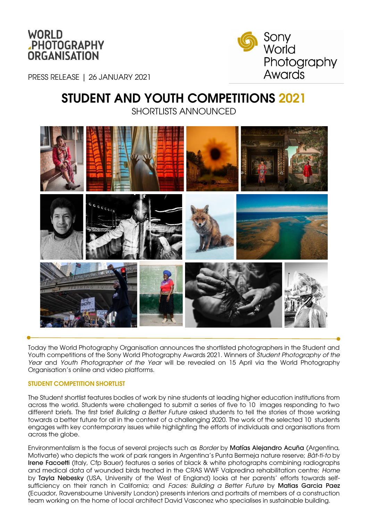



PRESS RELEASE | 26 JANUARY 2021

# STUDENT AND YOUTH COMPETITIONS 2021 SHORTLISTS ANNOUNCED



Today the World Photography Organisation announces the shortlisted photographers in the Student and Youth competitions of the Sony World Photography Awards 2021. Winners of *Student Photography of the Year* and *Youth Photographer of the Year* will be revealed on 15 April via the World Photography Organisation's online and video platforms.

### STUDENT COMPETITION SHORTLIST

The Student shortlist features bodies of work by nine students at leading higher education institutions from across the world. Students were challenged to submit a series of five to 10 images responding to two different briefs. The first brief *Building a Better Future* asked students to tell the stories of those working towards a better future for all in the context of a challenging 2020. The work of the selected 10 students engages with key contemporary issues while highlighting the efforts of individuals and organisations from across the globe.

Environmentalism is the focus of several projects such as *Border* by Matías Alejandro Acuña (Argentina, Motivarte) who depicts the work of park rangers in Argentina's Punta Bermeja nature reserve; *Bàt-ti-to* by Irene Facoetti (Italy, Cfp Bauer) features a series of black & white photographs combining radiographs and medical data of wounded birds treated in the CRAS WWF Valpredina rehabilitation centre; *Home* by Tayla Nebesky (USA, University of the West of England) looks at her parents' efforts towards selfsufficiency on their ranch in California; and *Faces: Building a Better Future* by Matias Garcia Paez (Ecuador, Ravensbourne University London) presents interiors and portraits of members of a construction team working on the home of local architect David Vasconez who specialises in sustainable building.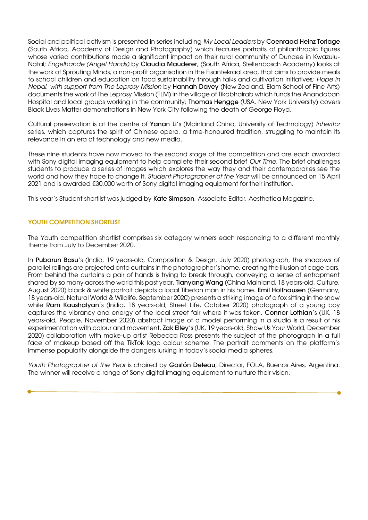Social and political activism is presented in series including *My Local Leaders* by Coenraad Heinz Torlage (South Africa, Academy of Design and Photography) which features portraits of philanthropic figures whose varied contributions made a significant impact on their rural community of Dundee in Kwazulu-Natal; *Engelhande (Angel Hands)* by Claudia Mauderer, (South Africa, Stellenbosch Academy) looks at the work of Sprouting Minds, a non-profit organisation in the Fisantekraal area, that aims to provide meals to school children and education on food sustainability through talks and cultivation initiatives; *Hope in Nepal*, *with support from The Leprosy Mission* by Hannah Davey (New Zealand, Elam School of Fine Arts) documents the work of The Leprosy Mission (TLM) in the village of Tikabhairab which funds the Anandaban Hospital and local groups working in the community; **Thomas Hengge** (USA, New York University) covers Black Lives Matter demonstrations in New York City following the death of George Floyd.

Cultural preservation is at the centre of Yanan Li's (Mainland China, University of Technology) *Inheritor* series, which captures the spirit of Chinese opera, a time-honoured tradition, struggling to maintain its relevance in an era of technology and new media.

These nine students have now moved to the second stage of the competition and are each awarded with Sony digital imaging equipment to help complete their second brief *Our Time*. The brief challenges students to produce a series of images which explores the way they and their contemporaries see the world and how they hope to change it. *Student Photographer of the Year* will be announced on 15 April 2021 and is awarded €30,000 worth of Sony digital imaging equipment for their institution.

This year's Student shortlist was judged by Kate Simpson, Associate Editor, Aesthetica Magazine.

# YOUTH COMPETITION SHORTLIST

The Youth competition shortlist comprises six category winners each responding to a different monthly theme from July to December 2020.

In Pubarun Basu's (India, 19 years-old, Composition & Design, July 2020) photograph, the shadows of parallel railings are projected onto curtains in the photographer's home, creating the illusion of cage bars. From behind the curtains a pair of hands is trying to break through, conveying a sense of entrapment shared by so many across the world this past year. Tianyang Wang (China Mainland, 18 years-old, Culture, August 2020) black & white portrait depicts a local Tibetan man in his home. Emil Holthausen (Germany, 18 years-old, Natural World & Wildlife, September 2020) presents a striking image of a fox sitting in the snow while Ram Kaushalyan's (India, 18 years-old, Street Life, October 2020) photograph of a young boy captures the vibrancy and energy of the local street fair where it was taken. Connor Lothian's (UK, 18 years-old, People, November 2020) abstract image of a model performing in a studio is a result of his experimentation with colour and movement. Zak Elley's (UK, 19 years-old, Show Us Your World, December 2020) collaboration with make-up artist Rebecca Ross presents the subject of the photograph in a full face of makeup based off the TikTok logo colour scheme. The portrait comments on the platform's immense popularity alongside the dangers lurking in today's social media spheres.

*Youth Photographer of the Year* is chaired by Gastón Deleau, Director, FOLA, Buenos Aires, Argentina. The winner will receive a range of Sony digital imaging equipment to nurture their vision.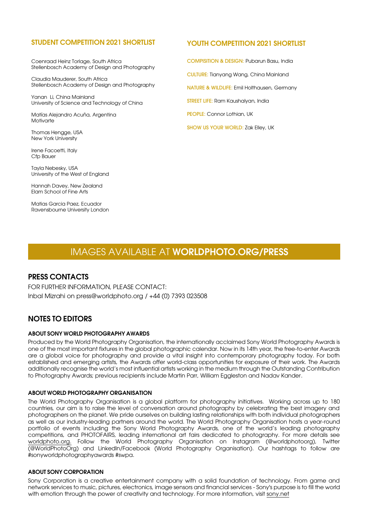### STUDENT COMPETITION 2021 SHORTLIST

Coenraad Heinz Torlage, South Africa Stellenbosch Academy of Design and Photography

Claudia Mauderer, South Africa Stellenbosch Academy of Design and Photography

Yanan Li, China Mainland University of Science and Technology of China

Matías Alejandro Acuña, Argentina Motivarte

Thomas Hengge, USA New York University

Irene Facoetti, Italy Cfp Bauer

Tayla Nebesky, USA University of the West of England

Hannah Davey, New Zealand Elam School of Fine Arts

Matias Garcia Paez, Ecuador Ravensbourne University London

## YOUTH COMPETITION 2021 SHORTLIST

COMPISITION & DESIGN: Pubarun Basu, India CULTURE: Tianyang Wang, China Mainland NATURE & WILDLIFE: Emil Holthausen, Germany STREET LIFE: Ram Kaushalyan, India PEOPLE: Connor Lothian, UK SHOW US YOUR WORLD: Zak Elley, UK

# IMAGES AVAILABLE AT WORLDPHOTO.ORG/PRESS

# PRESS CONTACTS

FOR FURTHER INFORMATION, PLEASE CONTACT: Inbal Mizrahi on press@worldphoto.org / +44 (0) 7393 023508

# NOTES TO EDITORS

### ABOUT SONY WORLD PHOTOGRAPHY AWARDS

Produced by the World Photography Organisation, the internationally acclaimed Sony World Photography Awards is one of the most important fixtures in the global photographic calendar. Now in its 14th year, the free-to-enter Awards are a global voice for photography and provide a vital insight into contemporary photography today. For both established and emerging artists, the Awards offer world-class opportunities for exposure of their work. The Awards additionally recognise the world's most influential artists working in the medium through the Outstanding Contribution to Photography Awards; previous recipients include Martin Parr, William Eggleston and Nadav Kander.

#### ABOUT WORLD PHOTOGRAPHY ORGANISATION

The World Photography Organisation is a global platform for photography initiatives. Working across up to 180 countries, our aim is to raise the level of conversation around photography by celebrating the best imagery and photographers on the planet. We pride ourselves on building lasting relationships with both individual photographers as well as our industry-leading partners around the world. The World Photography Organisation hosts a year-round portfolio of events including the Sony World Photography Awards, one of the world's leading photography competitions, and PHOTOFAIRS, leading international art fairs dedicated to photography. For more details see worldphoto.org. Follow the World Photography Organisation on Instagram (@worldphotoorg), Twitter (@WorldPhotoOrg) and LinkedIn/Facebook (World Photography Organisation). Our hashtags to follow are #sonyworldphotographyawards #swpa.

#### ABOUT SONY CORPORATION

Sony Corporation is a creative entertainment company with a solid foundation of technology. From game and network services to music, pictures, electronics, image sensors and financial services - Sony's purpose is to fill the world with emotion through the power of creativity and technology. For more information, visit [sony.net](http://www.sony.net/)